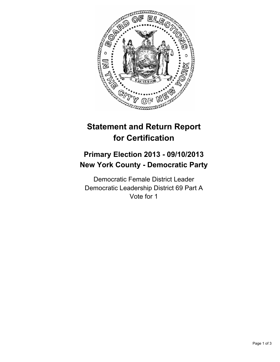

# **Statement and Return Report for Certification**

## **Primary Election 2013 - 09/10/2013 New York County - Democratic Party**

Democratic Female District Leader Democratic Leadership District 69 Part A Vote for 1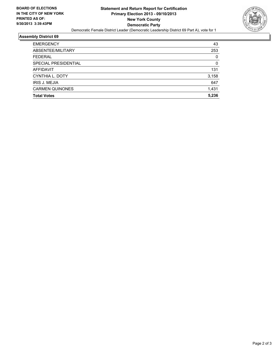

#### **Assembly District 69**

| <b>EMERGENCY</b>       | 43    |
|------------------------|-------|
| ABSENTEE/MILITARY      | 253   |
| <b>FEDERAL</b>         | 0     |
| SPECIAL PRESIDENTIAL   | 0     |
| <b>AFFIDAVIT</b>       | 131   |
| CYNTHIA L. DOTY        | 3,158 |
| <b>IRIS J. MEJIA</b>   | 647   |
| <b>CARMEN QUINONES</b> | 1,431 |
| <b>Total Votes</b>     | 5,236 |
|                        |       |